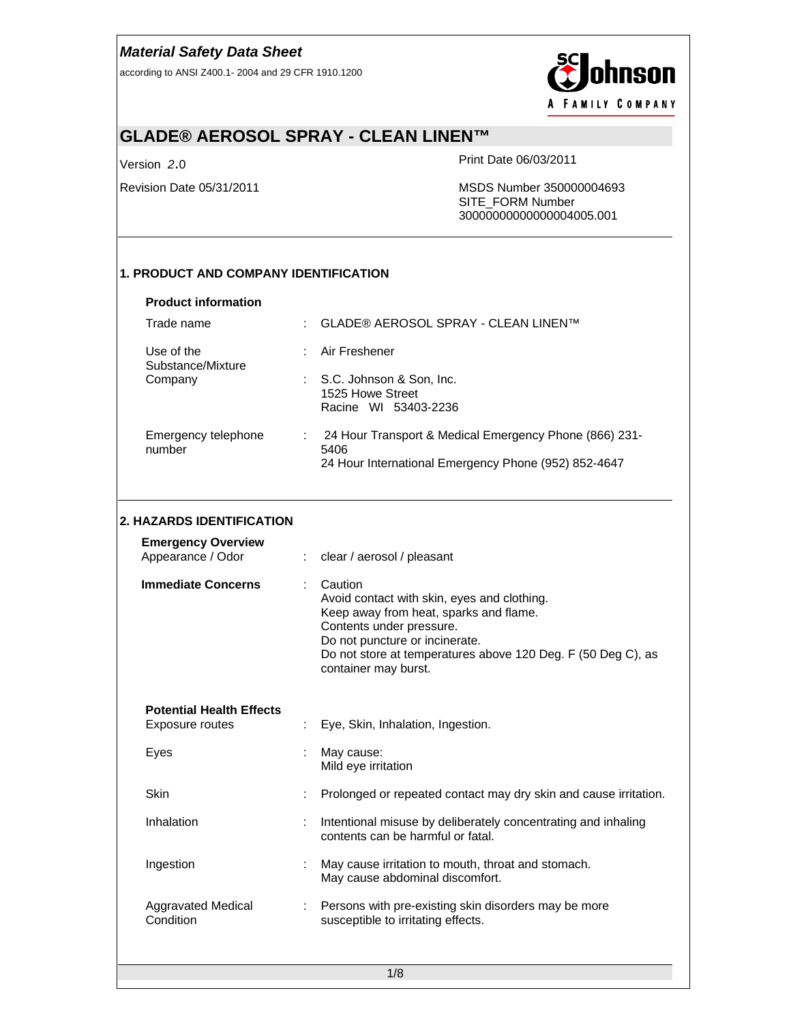according to ANSI Z400.1- 2004 and 29 CFR 1910.1200



# **GLADE® AEROSOL SPRAY - CLEAN LINEN™**

Version *2*.0 Print Date 06/03/2011

Revision Date 05/31/2011 MSDS Number 350000004693 SITE\_FORM Number 30000000000000004005.001

### **1. PRODUCT AND COMPANY IDENTIFICATION**

| Trade name                      | GLADE® AEROSOL SPRAY - CLEAN LINEN™                                                                                    |
|---------------------------------|------------------------------------------------------------------------------------------------------------------------|
| Use of the<br>Substance/Mixture | Air Freshener                                                                                                          |
| Company                         | : S.C. Johnson & Son, Inc.<br>1525 Howe Street<br>Racine WI 53403-2236                                                 |
| Emergency telephone<br>number   | 24 Hour Transport & Medical Emergency Phone (866) 231-<br>5406<br>24 Hour International Emergency Phone (952) 852-4647 |

#### **2. HAZARDS IDENTIFICATION**

| <b>Emergency Overview</b><br>Appearance / Odor     |   | clear / aerosol / pleasant                                                                                                                                                                                                                             |
|----------------------------------------------------|---|--------------------------------------------------------------------------------------------------------------------------------------------------------------------------------------------------------------------------------------------------------|
| <b>Immediate Concerns</b>                          | ÷ | Caution<br>Avoid contact with skin, eyes and clothing.<br>Keep away from heat, sparks and flame.<br>Contents under pressure.<br>Do not puncture or incinerate.<br>Do not store at temperatures above 120 Deg. F (50 Deg C), as<br>container may burst. |
| <b>Potential Health Effects</b><br>Exposure routes |   | Eye, Skin, Inhalation, Ingestion.                                                                                                                                                                                                                      |
| Eyes                                               | t | May cause:<br>Mild eye irritation                                                                                                                                                                                                                      |
| Skin                                               |   | Prolonged or repeated contact may dry skin and cause irritation.                                                                                                                                                                                       |
| Inhalation                                         | ÷ | Intentional misuse by deliberately concentrating and inhaling<br>contents can be harmful or fatal.                                                                                                                                                     |
| Ingestion                                          |   | May cause irritation to mouth, throat and stomach.<br>May cause abdominal discomfort.                                                                                                                                                                  |
| Aggravated Medical<br>Condition                    |   | Persons with pre-existing skin disorders may be more<br>susceptible to irritating effects.                                                                                                                                                             |
|                                                    |   |                                                                                                                                                                                                                                                        |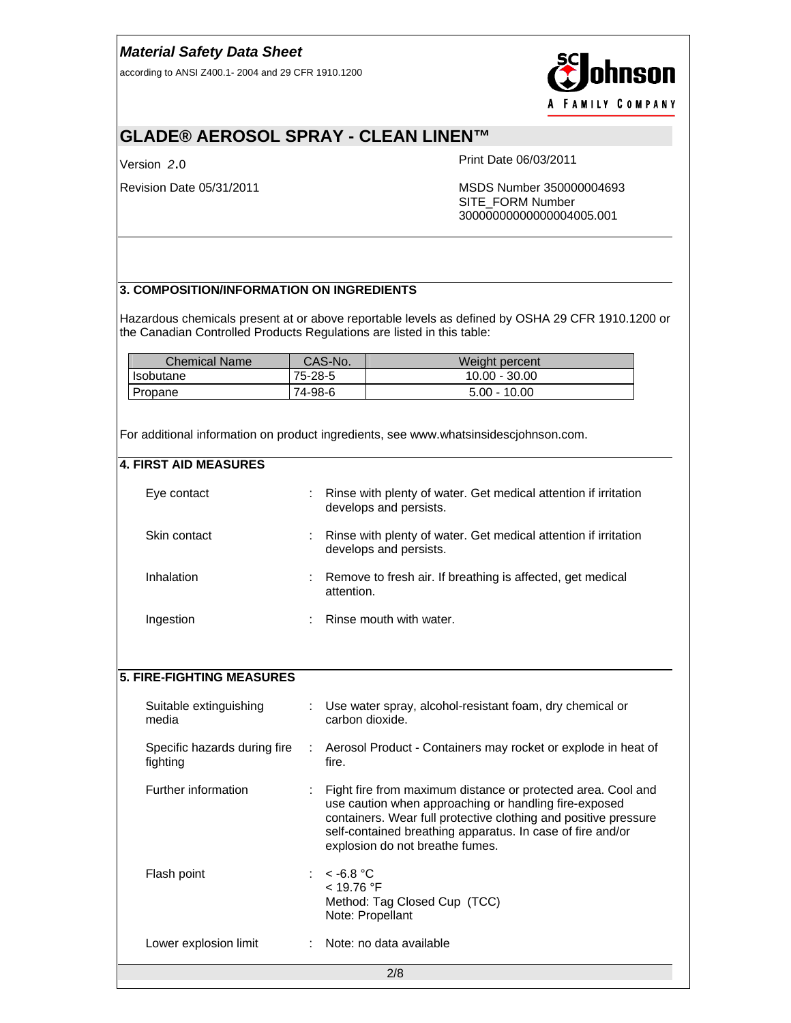according to ANSI Z400.1- 2004 and 29 CFR 1910.1200



# **GLADE® AEROSOL SPRAY - CLEAN LINEN™**

Version *2*.0 Print Date 06/03/2011

Revision Date 05/31/2011 MSDS Number 350000004693 SITE\_FORM Number 30000000000000004005.001

#### **3. COMPOSITION/INFORMATION ON INGREDIENTS**

Hazardous chemicals present at or above reportable levels as defined by OSHA 29 CFR 1910.1200 or the Canadian Controlled Products Regulations are listed in this table:

| Chemical Name | CAS-No. | Weight percent  |
|---------------|---------|-----------------|
| Isobutane     | 75-28-5 | $10.00 - 30.00$ |
| Propane       | 74-98-6 | $5.00 - 10.00$  |

For additional information on product ingredients, see www.whatsinsidescjohnson.com.

| <b>4. FIRST AID MEASURES</b>             |   |                                                                                                                                                                                                                                                                                           |
|------------------------------------------|---|-------------------------------------------------------------------------------------------------------------------------------------------------------------------------------------------------------------------------------------------------------------------------------------------|
| Eye contact                              |   | Rinse with plenty of water. Get medical attention if irritation<br>develops and persists.                                                                                                                                                                                                 |
| Skin contact                             |   | Rinse with plenty of water. Get medical attention if irritation<br>develops and persists.                                                                                                                                                                                                 |
| Inhalation                               |   | Remove to fresh air. If breathing is affected, get medical<br>attention.                                                                                                                                                                                                                  |
| Ingestion                                |   | Rinse mouth with water.                                                                                                                                                                                                                                                                   |
|                                          |   |                                                                                                                                                                                                                                                                                           |
| <b>5. FIRE-FIGHTING MEASURES</b>         |   |                                                                                                                                                                                                                                                                                           |
|                                          |   |                                                                                                                                                                                                                                                                                           |
| Suitable extinguishing<br>media          |   | Use water spray, alcohol-resistant foam, dry chemical or<br>carbon dioxide.                                                                                                                                                                                                               |
| Specific hazards during fire<br>fighting | ÷ | Aerosol Product - Containers may rocket or explode in heat of<br>fire.                                                                                                                                                                                                                    |
| Further information                      |   | Fight fire from maximum distance or protected area. Cool and<br>use caution when approaching or handling fire-exposed<br>containers. Wear full protective clothing and positive pressure<br>self-contained breathing apparatus. In case of fire and/or<br>explosion do not breathe fumes. |
| Flash point                              |   | $~<$ -6.8 °C<br>< 19.76 °F<br>Method: Tag Closed Cup (TCC)<br>Note: Propellant                                                                                                                                                                                                            |
| Lower explosion limit                    |   | Note: no data available                                                                                                                                                                                                                                                                   |
|                                          |   | 2/8                                                                                                                                                                                                                                                                                       |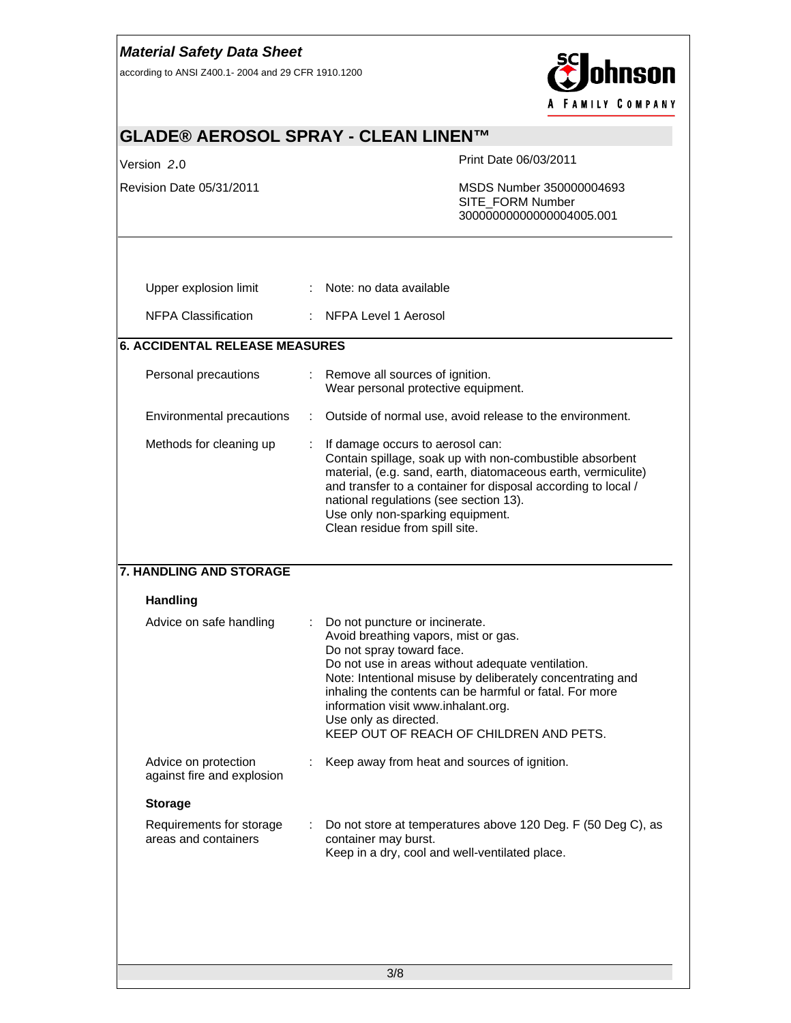| <b>Material Safety Data Sheet</b><br>hnson<br>according to ANSI Z400.1-2004 and 29 CFR 1910.1200 |  |                                                                                                                                                                                                                                                                                                                                                                                              |                                              |                                                              |  |  |
|--------------------------------------------------------------------------------------------------|--|----------------------------------------------------------------------------------------------------------------------------------------------------------------------------------------------------------------------------------------------------------------------------------------------------------------------------------------------------------------------------------------------|----------------------------------------------|--------------------------------------------------------------|--|--|
| <b>FAMILY COMPANY</b>                                                                            |  |                                                                                                                                                                                                                                                                                                                                                                                              |                                              |                                                              |  |  |
| GLADE® AEROSOL SPRAY - CLEAN LINEN™                                                              |  |                                                                                                                                                                                                                                                                                                                                                                                              |                                              |                                                              |  |  |
| Version 2.0                                                                                      |  |                                                                                                                                                                                                                                                                                                                                                                                              | Print Date 06/03/2011                        |                                                              |  |  |
| Revision Date 05/31/2011                                                                         |  |                                                                                                                                                                                                                                                                                                                                                                                              | SITE_FORM Number<br>30000000000000004005.001 | MSDS Number 350000004693                                     |  |  |
| Upper explosion limit                                                                            |  | Note: no data available                                                                                                                                                                                                                                                                                                                                                                      |                                              |                                                              |  |  |
| <b>NFPA Classification</b>                                                                       |  | NFPA Level 1 Aerosol                                                                                                                                                                                                                                                                                                                                                                         |                                              |                                                              |  |  |
| <b>6. ACCIDENTAL RELEASE MEASURES</b>                                                            |  |                                                                                                                                                                                                                                                                                                                                                                                              |                                              |                                                              |  |  |
| Personal precautions                                                                             |  | Remove all sources of ignition.<br>Wear personal protective equipment.                                                                                                                                                                                                                                                                                                                       |                                              |                                                              |  |  |
| Environmental precautions                                                                        |  | Outside of normal use, avoid release to the environment.                                                                                                                                                                                                                                                                                                                                     |                                              |                                                              |  |  |
| Methods for cleaning up                                                                          |  | If damage occurs to aerosol can:<br>Contain spillage, soak up with non-combustible absorbent<br>material, (e.g. sand, earth, diatomaceous earth, vermiculite)<br>and transfer to a container for disposal according to local /<br>national regulations (see section 13).<br>Use only non-sparking equipment.<br>Clean residue from spill site.                                               |                                              |                                                              |  |  |
| <b>7. HANDLING AND STORAGE</b>                                                                   |  |                                                                                                                                                                                                                                                                                                                                                                                              |                                              |                                                              |  |  |
| <b>Handling</b>                                                                                  |  |                                                                                                                                                                                                                                                                                                                                                                                              |                                              |                                                              |  |  |
| Advice on safe handling                                                                          |  | Do not puncture or incinerate.<br>Avoid breathing vapors, mist or gas.<br>Do not spray toward face.<br>Do not use in areas without adequate ventilation.<br>Note: Intentional misuse by deliberately concentrating and<br>inhaling the contents can be harmful or fatal. For more<br>information visit www.inhalant.org.<br>Use only as directed.<br>KEEP OUT OF REACH OF CHILDREN AND PETS. |                                              |                                                              |  |  |
| Advice on protection<br>against fire and explosion                                               |  | Keep away from heat and sources of ignition.                                                                                                                                                                                                                                                                                                                                                 |                                              |                                                              |  |  |
| <b>Storage</b>                                                                                   |  |                                                                                                                                                                                                                                                                                                                                                                                              |                                              |                                                              |  |  |
| Requirements for storage<br>areas and containers                                                 |  | container may burst.<br>Keep in a dry, cool and well-ventilated place.                                                                                                                                                                                                                                                                                                                       |                                              | Do not store at temperatures above 120 Deg. F (50 Deg C), as |  |  |
|                                                                                                  |  |                                                                                                                                                                                                                                                                                                                                                                                              |                                              |                                                              |  |  |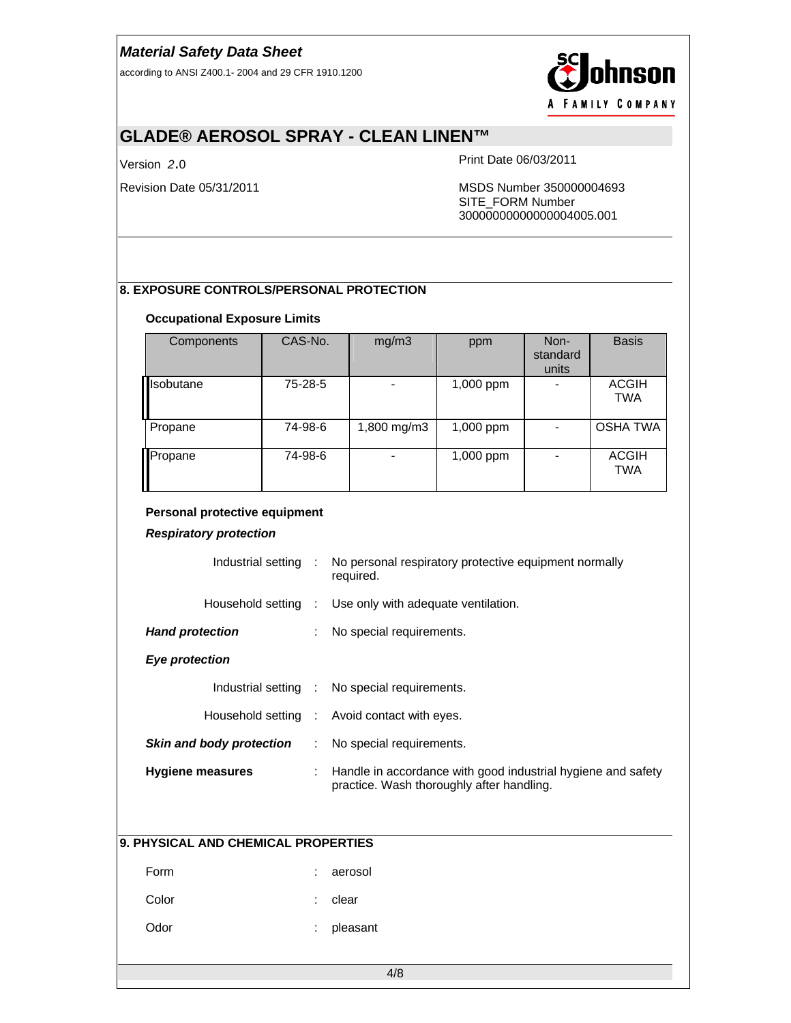according to ANSI Z400.1- 2004 and 29 CFR 1910.1200



# **GLADE® AEROSOL SPRAY - CLEAN LINEN™**

Version *2*.0 Print Date 06/03/2011

Revision Date 05/31/2011 MSDS Number 350000004693 SITE\_FORM Number 30000000000000004005.001

#### **8. EXPOSURE CONTROLS/PERSONAL PROTECTION**

#### **Occupational Exposure Limits**

| Components        | CAS-No. | mg/m3       | ppm         | Non-<br>standard<br>units | <b>Basis</b>               |
|-------------------|---------|-------------|-------------|---------------------------|----------------------------|
| <b>I</b> sobutane | 75-28-5 |             | 1,000 ppm   |                           | <b>ACGIH</b><br><b>TWA</b> |
| Propane           | 74-98-6 | 1,800 mg/m3 | 1,000 ppm   |                           | <b>OSHA TWA</b>            |
| <b>I</b> Propane  | 74-98-6 |             | $1,000$ ppm |                           | <b>ACGIH</b><br><b>TWA</b> |

#### **Personal protective equipment**

*Respiratory protection*

| Industrial setting :     | No personal respiratory protective equipment normally<br>required. |
|--------------------------|--------------------------------------------------------------------|
|                          | Household setting : Use only with adequate ventilation.            |
| <b>Hand protection</b>   | No special requirements.                                           |
| Eye protection           |                                                                    |
|                          | Industrial setting : No special requirements.                      |
|                          | Household setting : Avoid contact with eyes.                       |
| Skin and body protection | : No special requirements.                                         |

| Hygiene measures | : Handle in accordance with good industrial hygiene and safety<br>practice. Wash thoroughly after handling. |
|------------------|-------------------------------------------------------------------------------------------------------------|
|                  |                                                                                                             |

#### **9. PHYSICAL AND CHEMICAL PROPERTIES**

Form : aerosol

Color : clear

Odor : pleasant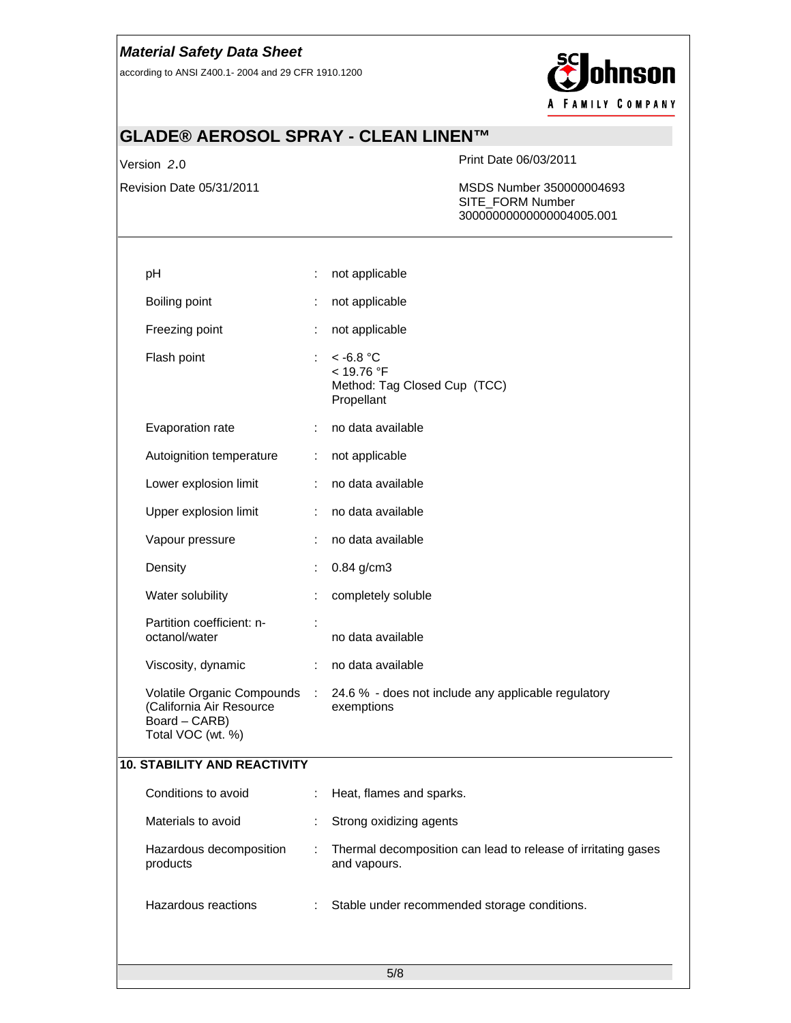according to ANSI Z400.1- 2004 and 29 CFR 1910.1200



# **GLADE® AEROSOL SPRAY - CLEAN LINEN™**

Version *2*.0 Print Date 06/03/2011

Revision Date 05/31/2011 MSDS Number 350000004693 SITE\_FORM Number 30000000000000004005.001

| pH                                                             |    | not applicable                                                                                 |
|----------------------------------------------------------------|----|------------------------------------------------------------------------------------------------|
| Boiling point                                                  | ÷  | not applicable                                                                                 |
| Freezing point                                                 | ÷  | not applicable                                                                                 |
| Flash point                                                    | ÷. | $~<$ -6.8 °C<br>< 19.76 °F<br>Method: Tag Closed Cup (TCC)<br>Propellant                       |
| Evaporation rate                                               | ÷. | no data available                                                                              |
| Autoignition temperature                                       | ÷. | not applicable                                                                                 |
| Lower explosion limit                                          | ÷  | no data available                                                                              |
| Upper explosion limit                                          | ÷  | no data available                                                                              |
| Vapour pressure                                                |    | no data available                                                                              |
| Density                                                        |    | $0.84$ g/cm3                                                                                   |
| Water solubility                                               |    | completely soluble                                                                             |
| Partition coefficient: n-<br>octanol/water                     |    | no data available                                                                              |
| Viscosity, dynamic                                             | ÷  | no data available                                                                              |
| (California Air Resource<br>Board - CARB)<br>Total VOC (wt. %) |    | Volatile Organic Compounds : 24.6 % - does not include any applicable regulatory<br>exemptions |
| <b>10. STABILITY AND REACTIVITY</b>                            |    |                                                                                                |
| Conditions to avoid                                            | ÷  | Heat, flames and sparks.                                                                       |
| Materials to avoid                                             | ÷  | Strong oxidizing agents                                                                        |
| Hazardous decomposition<br>products                            |    | Thermal decomposition can lead to release of irritating gases<br>and vapours.                  |
| Hazardous reactions                                            |    | Stable under recommended storage conditions.                                                   |
|                                                                |    | 5/8                                                                                            |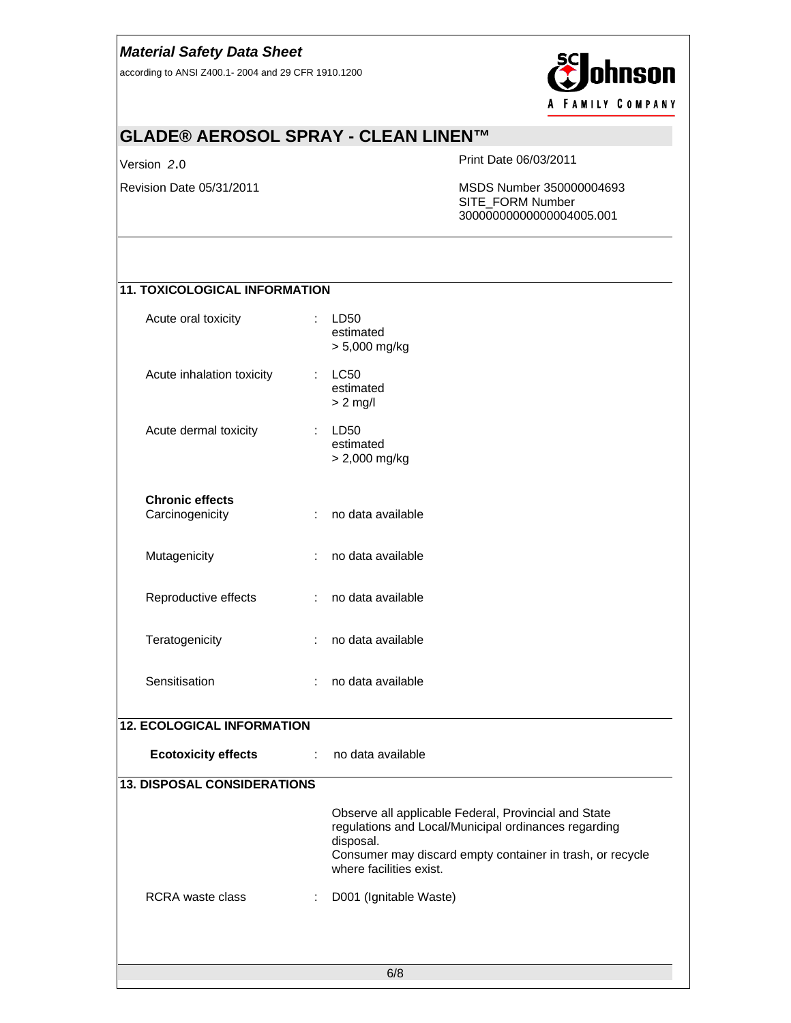according to ANSI Z400.1- 2004 and 29 CFR 1910.1200



# **GLADE® AEROSOL SPRAY - CLEAN LINEN™**

Version *2*.0 Print Date 06/03/2011

Revision Date 05/31/2011 MSDS Number 350000004693 SITE\_FORM Number 30000000000000004005.001

## **11. TOXICOLOGICAL INFORMATION**

| Acute oral toxicity                       |    | LD50<br>estimated<br>> 5,000 mg/kg                                                                                                                                                                                |
|-------------------------------------------|----|-------------------------------------------------------------------------------------------------------------------------------------------------------------------------------------------------------------------|
| Acute inhalation toxicity                 | ÷. | LC50<br>estimated<br>$> 2$ mg/l                                                                                                                                                                                   |
| Acute dermal toxicity                     | ÷  | LD50<br>estimated<br>> 2,000 mg/kg                                                                                                                                                                                |
| <b>Chronic effects</b><br>Carcinogenicity | ÷. | no data available                                                                                                                                                                                                 |
| Mutagenicity                              | ÷  | no data available                                                                                                                                                                                                 |
| Reproductive effects                      | ÷. | no data available                                                                                                                                                                                                 |
| Teratogenicity                            | ÷  | no data available                                                                                                                                                                                                 |
| Sensitisation                             | ÷. | no data available                                                                                                                                                                                                 |
| <b>12. ECOLOGICAL INFORMATION</b>         |    |                                                                                                                                                                                                                   |
| <b>Ecotoxicity effects</b>                | ÷. | no data available                                                                                                                                                                                                 |
| <b>13. DISPOSAL CONSIDERATIONS</b>        |    |                                                                                                                                                                                                                   |
|                                           |    | Observe all applicable Federal, Provincial and State<br>regulations and Local/Municipal ordinances regarding<br>disposal.<br>Consumer may discard empty container in trash, or recycle<br>where facilities exist. |
| <b>RCRA</b> waste class                   | ÷  | D001 (Ignitable Waste)                                                                                                                                                                                            |
|                                           |    | 6/8                                                                                                                                                                                                               |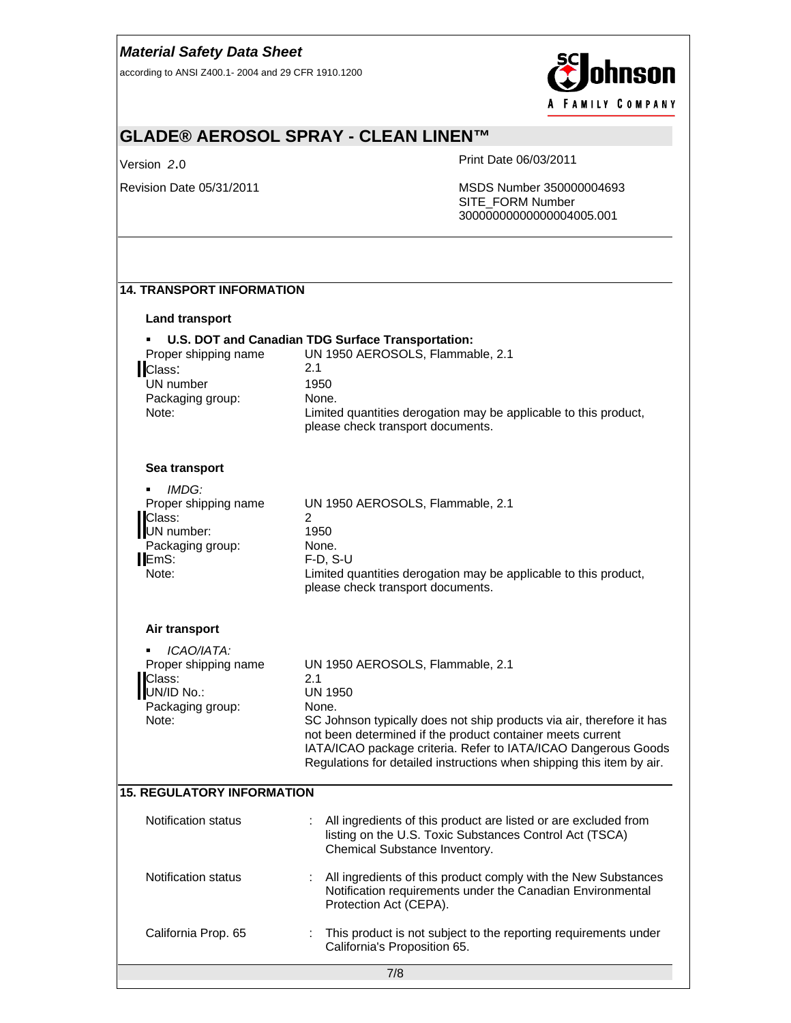according to ANSI Z400.1- 2004 and 29 CFR 1910.1200



# **GLADE® AEROSOL SPRAY - CLEAN LINEN™**

Version *2*.0 Print Date 06/03/2011

Revision Date 05/31/2011 MSDS Number 350000004693 SITE\_FORM Number 30000000000000004005.001

#### **14. TRANSPORT INFORMATION**

#### **Land transport**

| Lanu transport                                                                                          |                                                                                                                                                                                                                        |
|---------------------------------------------------------------------------------------------------------|------------------------------------------------------------------------------------------------------------------------------------------------------------------------------------------------------------------------|
| Proper shipping name<br>Class:<br>UN number<br>Packaging group:<br>Note:                                | U.S. DOT and Canadian TDG Surface Transportation:<br>UN 1950 AEROSOLS, Flammable, 2.1<br>2.1<br>1950<br>None.<br>Limited quantities derogation may be applicable to this product,<br>please check transport documents. |
| Sea transport                                                                                           |                                                                                                                                                                                                                        |
| IMDG:<br>٠<br>Proper shipping name<br><b>IClass:</b><br>UN number:<br>Packaging group:<br>EmS:<br>Note: | UN 1950 AEROSOLS, Flammable, 2.1<br>2<br>1950<br>None.<br>$F-D$ , $S-U$<br>Limited quantities derogation may be applicable to this product,<br>please check transport documents.                                       |
| Air transport                                                                                           |                                                                                                                                                                                                                        |
| ICAO/IATA:<br>٠<br>Proper shipping name<br>Class:<br>UN/ID No.:<br>Packaging group:                     | UN 1950 AEROSOLS, Flammable, 2.1<br>2.1<br>UN 1950<br>None.                                                                                                                                                            |

Note: SC Johnson typically does not ship products via air, therefore it has not been determined if the product container meets current IATA/ICAO package criteria. Refer to IATA/ICAO Dangerous Goods Regulations for detailed instructions when shipping this item by air.

#### **15. REGULATORY INFORMATION**

| California Prop. 65 | : This product is not subject to the reporting requirements under<br>California's Proposition 65.<br>7/8                                                      |  |
|---------------------|---------------------------------------------------------------------------------------------------------------------------------------------------------------|--|
| Notification status | : All ingredients of this product comply with the New Substances<br>Notification requirements under the Canadian Environmental<br>Protection Act (CEPA).      |  |
| Notification status | : All ingredients of this product are listed or are excluded from<br>listing on the U.S. Toxic Substances Control Act (TSCA)<br>Chemical Substance Inventory. |  |